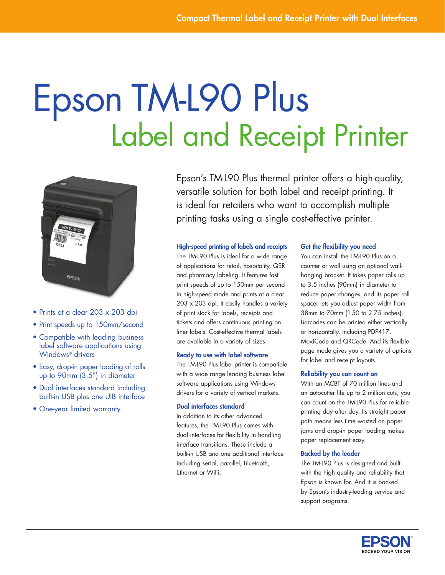# Epson TM-L90 Plus<br>Label and Receipt Printer



- Prints at a clear 203 x 203 dpi
- Print speeds up to 150mm/second
- Compatible with leading business label software applications using Windows® drivers
- Easy, drop-in paper loading of rolls up to 90mm (3.5") in diameter
- Dual interfaces standard including built-in USB plus one UIB interface
- One-year limited warranty

Epson's TM-L90 Plus thermal printer offers a high-quality, versatile solution for both label and receipt printing. It is ideal for retailers who want to accomplish multiple printing tasks using a single cost-effective printer.

## High-speed printing of labels and receipts

The TM-L90 Plus is ideal for a wide range of applications for retail, hospitality, QSR and pharmacy labeling. It features fast print speeds of up to 150mm per second in high-speed mode and prints at a clear 203 x 203 dpi. It easily handles a variety of print stock for labels, receipts and tickets and offers continuous printing on liner labels. Cost-effective thermal labels are available in a variety of sizes.

#### Ready to use with label software

The TM-L90 Plus label printer is compatible with a wide range leading business label software applications using Windows drivers for a variety of vertical markets.

## Dual interfaces standard

In addition to its other advanced features, the TM-L90 Plus comes with dual interfaces for flexibility in handling interface transitions. These include a built-in USB and one additional interface including serial, parallel, Bluetooth, Ethernet or WiFi.

#### Get the flexibility you need

You can install the TM-L90 Plus on a counter or wall using an optional wallhanging bracket. It takes paper rolls up to 3.5 inches (90mm) in diameter to reduce paper changes, and its paper roll spacer lets you adjust paper width from 38mm to 70mm (1.50 to 2.75 inches). Barcodes can be printed either vertically or horizontally, including PDF417, MaxiCode and QRCode. And its flexible page mode gives you a variety of options for label and receipt layouts.

#### Reliability you can count on

With an MCBF of 70 million lines and an autocutter life up to 2 million cuts, you can count on the TM-L90 Plus for reliable printing day after day. Its straight paper path means less time wasted on paper jams and drop-in paper loading makes paper replacement easy.

#### Backed by the leader

The TM-L90 Plus is designed and built with the high quality and reliability that Epson is known for. And it is backed by Epson's industry-leading service and support programs.